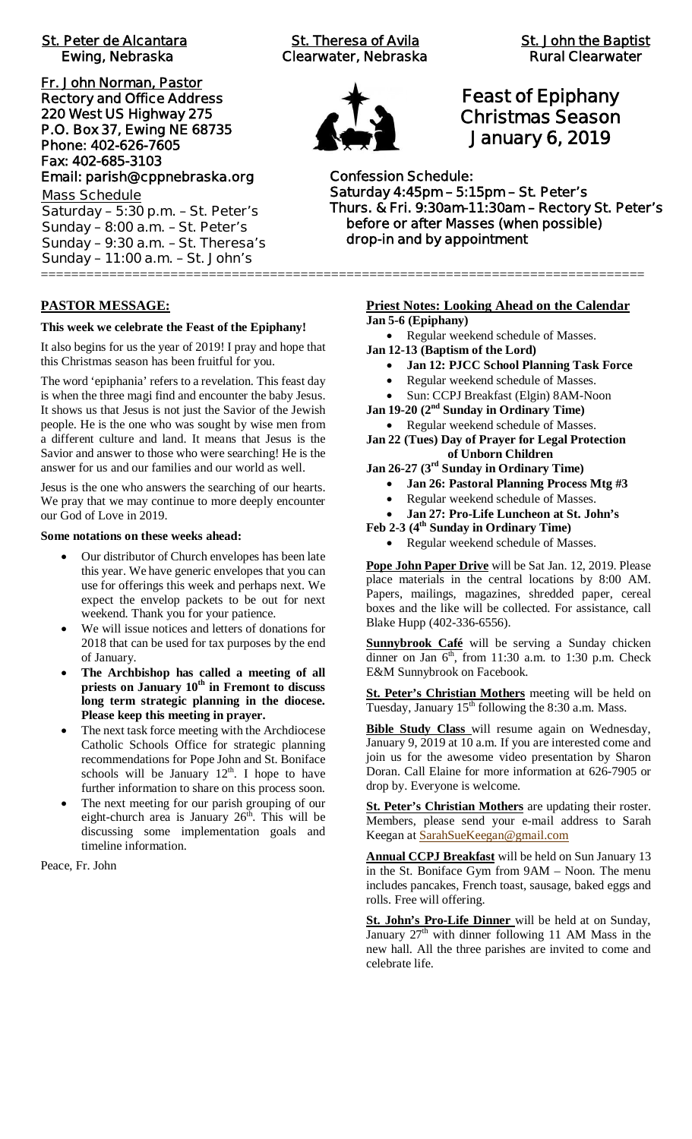# **St. Peter de Alcantara St. Theresa of Avila St. John the Baptist**

**Fr. John Norman, Pastor Rectory and Office Address 220 West US Highway 275 P.O. Box 37, Ewing NE 68735 Phone: 402-626-7605 Fax: 402-685-3103 Email: parish@cppnebraska.org Mass Schedule Saturday – 5:30 p.m. – St. Peter's**

**Sunday – 8:00 a.m. – St. Peter's Sunday – 9:30 a.m. – St. Theresa's Sunday – 11:00 a.m. – St. John's** ===============================================================================

## **PASTOR MESSAGE:**

#### **This week we celebrate the Feast of the Epiphany!**

It also begins for us the year of 2019! I pray and hope that this Christmas season has been fruitful for you.

The word 'epiphania' refers to a revelation. This feast day is when the three magi find and encounter the baby Jesus. It shows us that Jesus is not just the Savior of the Jewish people. He is the one who was sought by wise men from a different culture and land. It means that Jesus is the Savior and answer to those who were searching! He is the answer for us and our families and our world as well.

Jesus is the one who answers the searching of our hearts. We pray that we may continue to more deeply encounter our God of Love in 2019.

#### **Some notations on these weeks ahead:**

- · Our distributor of Church envelopes has been late this year. We have generic envelopes that you can use for offerings this week and perhaps next. We expect the envelop packets to be out for next weekend. Thank you for your patience.
- We will issue notices and letters of donations for 2018 that can be used for tax purposes by the end of January.
- · **The Archbishop has called a meeting of all priests on January 10th in Fremont to discuss long term strategic planning in the diocese. Please keep this meeting in prayer.**
- The next task force meeting with the Archdiocese Catholic Schools Office for strategic planning recommendations for Pope John and St. Boniface schools will be January  $12<sup>th</sup>$ . I hope to have further information to share on this process soon.
- The next meeting for our parish grouping of our eight-church area is January  $26^{th}$ . This will be discussing some implementation goals and timeline information.

Peace, Fr. John

 **Ewing, Nebraska Clearwater, Nebraska Rural Clearwater**



## **Feast of Epiphany Christmas Season January 6, 2019**

**Confession Schedule: Saturday 4:45pm – 5:15pm – St. Peter's Thurs. & Fri. 9:30am-11:30am – Rectory St. Peter's before or after Masses (when possible) drop-in and by appointment**

> **Priest Notes: Looking Ahead on the Calendar Jan 5-6 (Epiphany)**

- · Regular weekend schedule of Masses.
- **Jan 12-13 (Baptism of the Lord)**
	- · **Jan 12: PJCC School Planning Task Force**
	- · Regular weekend schedule of Masses.
	- · Sun: CCPJ Breakfast (Elgin) 8AM-Noon

**Jan 19-20 (2nd Sunday in Ordinary Time)** · Regular weekend schedule of Masses.

**Jan 22 (Tues) Day of Prayer for Legal Protection of Unborn Children**

- **Jan 26-27 (3rd Sunday in Ordinary Time)**
	- · **Jan 26: Pastoral Planning Process Mtg #3**
	- · Regular weekend schedule of Masses.
	- · **Jan 27: Pro-Life Luncheon at St. John's**

**Feb 2-3 (4th Sunday in Ordinary Time)**

Regular weekend schedule of Masses.

**Pope John Paper Drive** will be Sat Jan. 12, 2019. Please place materials in the central locations by 8:00 AM. Papers, mailings, magazines, shredded paper, cereal boxes and the like will be collected. For assistance, call Blake Hupp (402-336-6556).

**Sunnybrook Café** will be serving a Sunday chicken dinner on Jan  $6<sup>th</sup>$ , from 11:30 a.m. to 1:30 p.m. Check E&M Sunnybrook on Facebook.

**St. Peter's Christian Mothers** meeting will be held on Tuesday, January  $15<sup>th</sup>$  following the 8:30 a.m. Mass.

Bible Study Class will resume again on Wednesday, January 9, 2019 at 10 a.m. If you are interested come and join us for the awesome video presentation by Sharon Doran. Call Elaine for more information at 626-7905 or drop by. Everyone is welcome.

**St. Peter's Christian Mothers** are updating their roster. Members, please send your e-mail address to Sarah Keegan at SarahSueKeegan@gmail.com

**Annual CCPJ Breakfast** will be held on Sun January 13 in the St. Boniface Gym from 9AM – Noon. The menu includes pancakes, French toast, sausage, baked eggs and rolls. Free will offering.

**St. John's Pro-Life Dinner** will be held at on Sunday, January  $27<sup>th</sup>$  with dinner following 11 AM Mass in the new hall. All the three parishes are invited to come and celebrate life.